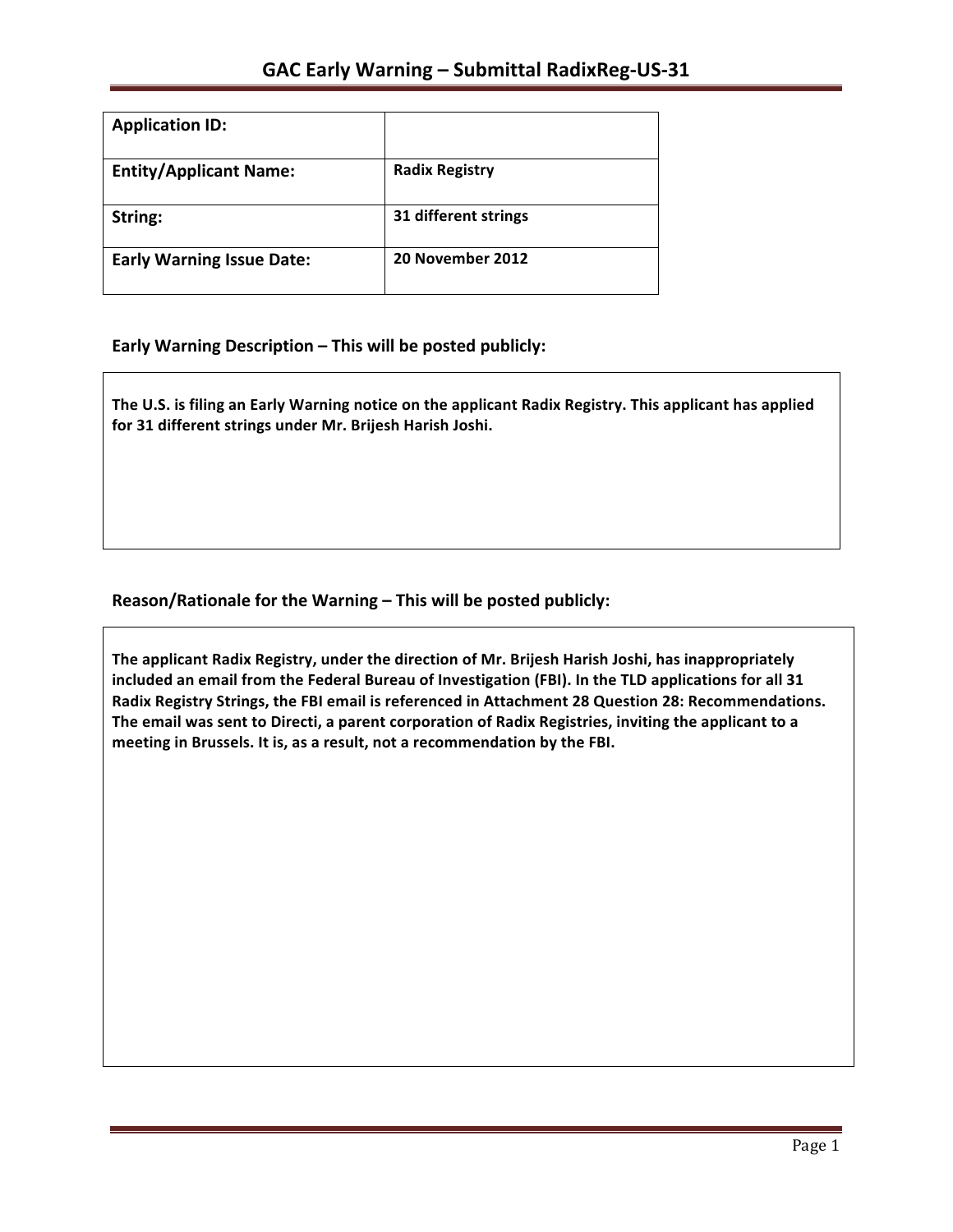| <b>Application ID:</b>           |                       |  |
|----------------------------------|-----------------------|--|
| <b>Entity/Applicant Name:</b>    | <b>Radix Registry</b> |  |
| String:                          | 31 different strings  |  |
| <b>Early Warning Issue Date:</b> | 20 November 2012      |  |

**Early Warning Description – This will be posted publicly:** 

The U.S. is filing an Early Warning notice on the applicant Radix Registry. This applicant has applied for 31 different strings under Mr. Brijesh Harish Joshi.

## Reason/Rationale for the Warning – This will be posted publicly:

The applicant Radix Registry, under the direction of Mr. Brijesh Harish Joshi, has inappropriately included an email from the Federal Bureau of Investigation (FBI). In the TLD applications for all 31 Radix Registry Strings, the FBI email is referenced in Attachment 28 Question 28: Recommendations. The email was sent to Directi, a parent corporation of Radix Registries, inviting the applicant to a meeting in Brussels. It is, as a result, not a recommendation by the FBI.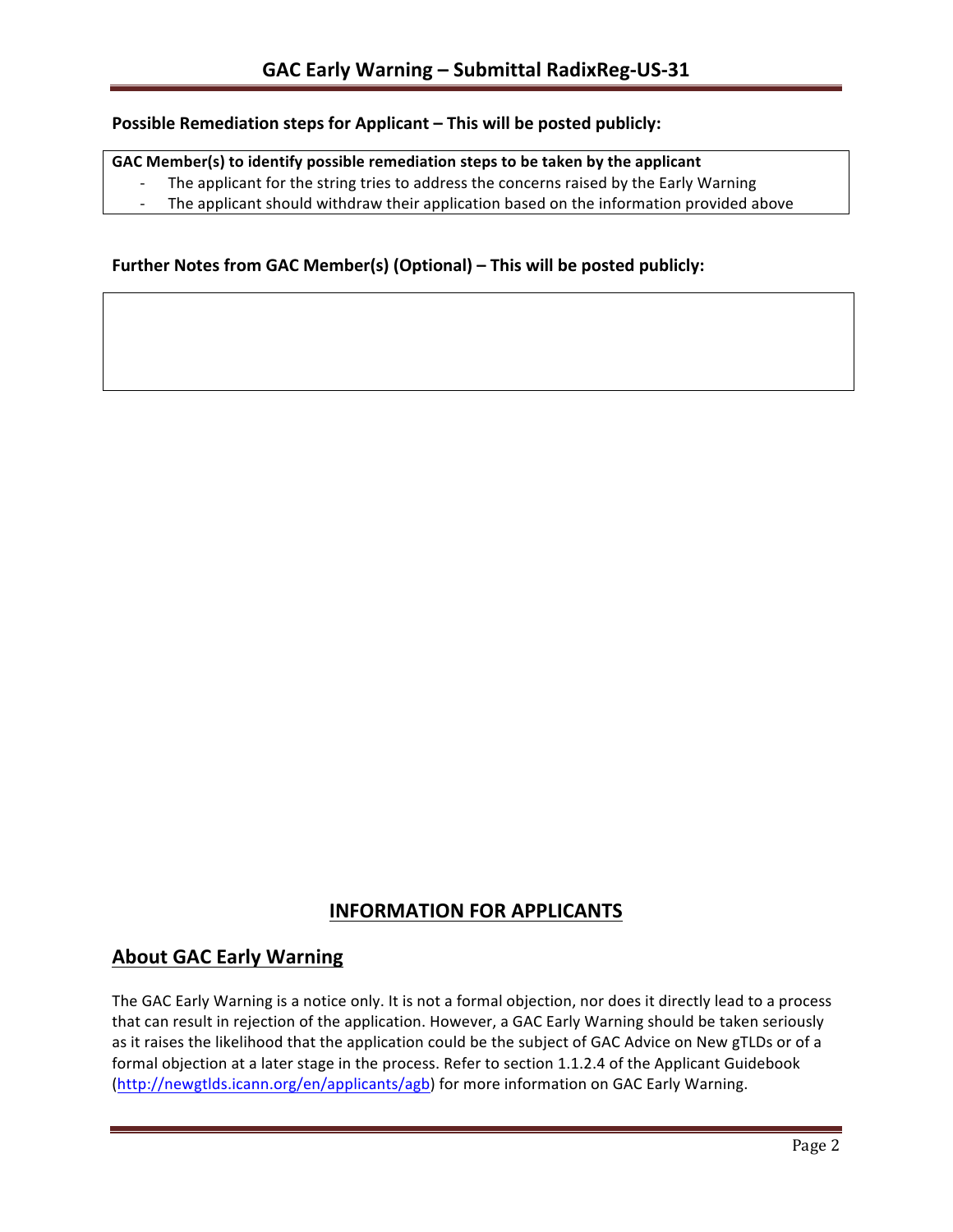### **Possible Remediation steps for Applicant – This will be posted publicly:**

### GAC Member(s) to identify possible remediation steps to be taken by the applicant

- The applicant for the string tries to address the concerns raised by the Early Warning
- The applicant should withdraw their application based on the information provided above

## **Further Notes from GAC Member(s) (Optional) – This will be posted publicly:**

# **INFORMATION FOR APPLICANTS**

# **About GAC Early Warning**

The GAC Early Warning is a notice only. It is not a formal objection, nor does it directly lead to a process that can result in rejection of the application. However, a GAC Early Warning should be taken seriously as it raises the likelihood that the application could be the subject of GAC Advice on New gTLDs or of a formal objection at a later stage in the process. Refer to section 1.1.2.4 of the Applicant Guidebook (http://newgtlds.icann.org/en/applicants/agb) for more information on GAC Early Warning.